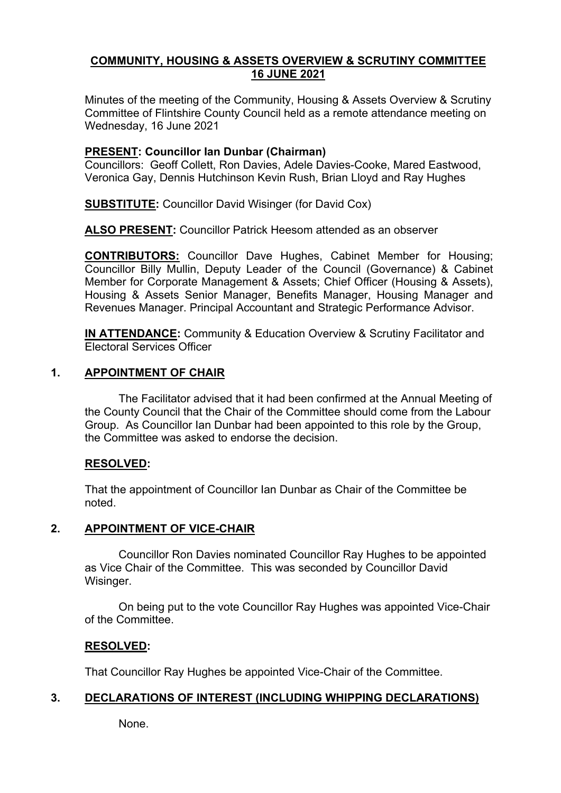# **COMMUNITY, HOUSING & ASSETS OVERVIEW & SCRUTINY COMMITTEE 16 JUNE 2021**

Minutes of the meeting of the Community, Housing & Assets Overview & Scrutiny Committee of Flintshire County Council held as a remote attendance meeting on Wednesday, 16 June 2021

# **PRESENT: Councillor Ian Dunbar (Chairman)**

Councillors: Geoff Collett, Ron Davies, Adele Davies-Cooke, Mared Eastwood, Veronica Gay, Dennis Hutchinson Kevin Rush, Brian Lloyd and Ray Hughes

**SUBSTITUTE:** Councillor David Wisinger (for David Cox)

**ALSO PRESENT:** Councillor Patrick Heesom attended as an observer

**CONTRIBUTORS:** Councillor Dave Hughes, Cabinet Member for Housing; Councillor Billy Mullin, Deputy Leader of the Council (Governance) & Cabinet Member for Corporate Management & Assets; Chief Officer (Housing & Assets), Housing & Assets Senior Manager, Benefits Manager, Housing Manager and Revenues Manager. Principal Accountant and Strategic Performance Advisor.

**IN ATTENDANCE:** Community & Education Overview & Scrutiny Facilitator and Electoral Services Officer

# **1. APPOINTMENT OF CHAIR**

The Facilitator advised that it had been confirmed at the Annual Meeting of the County Council that the Chair of the Committee should come from the Labour Group. As Councillor Ian Dunbar had been appointed to this role by the Group, the Committee was asked to endorse the decision.

# **RESOLVED:**

That the appointment of Councillor Ian Dunbar as Chair of the Committee be noted.

# **2. APPOINTMENT OF VICE-CHAIR**

Councillor Ron Davies nominated Councillor Ray Hughes to be appointed as Vice Chair of the Committee. This was seconded by Councillor David Wisinger.

On being put to the vote Councillor Ray Hughes was appointed Vice-Chair of the Committee.

## **RESOLVED:**

That Councillor Ray Hughes be appointed Vice-Chair of the Committee.

# **3. DECLARATIONS OF INTEREST (INCLUDING WHIPPING DECLARATIONS)**

None.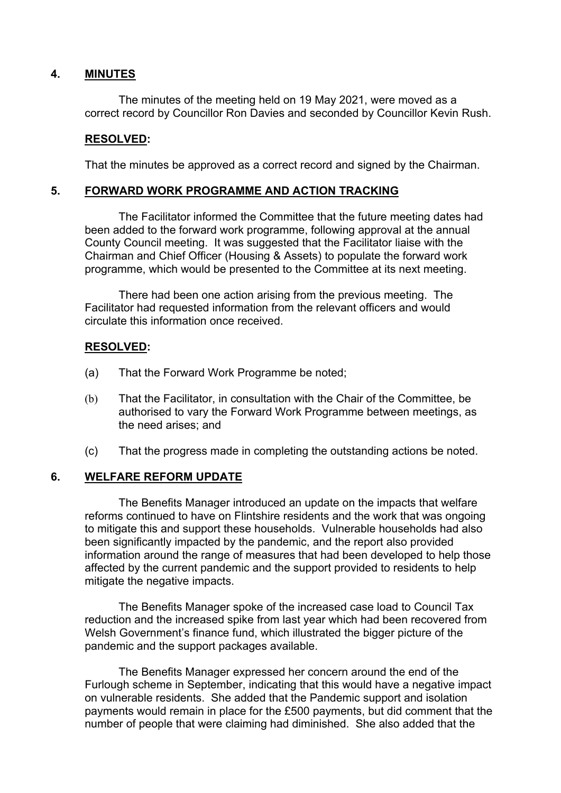## **4. MINUTES**

The minutes of the meeting held on 19 May 2021, were moved as a correct record by Councillor Ron Davies and seconded by Councillor Kevin Rush.

## **RESOLVED:**

That the minutes be approved as a correct record and signed by the Chairman.

## **5. FORWARD WORK PROGRAMME AND ACTION TRACKING**

The Facilitator informed the Committee that the future meeting dates had been added to the forward work programme, following approval at the annual County Council meeting. It was suggested that the Facilitator liaise with the Chairman and Chief Officer (Housing & Assets) to populate the forward work programme, which would be presented to the Committee at its next meeting.

There had been one action arising from the previous meeting. The Facilitator had requested information from the relevant officers and would circulate this information once received.

# **RESOLVED:**

- (a) That the Forward Work Programme be noted;
- (b) That the Facilitator, in consultation with the Chair of the Committee, be authorised to vary the Forward Work Programme between meetings, as the need arises; and
- (c) That the progress made in completing the outstanding actions be noted.

## **6. WELFARE REFORM UPDATE**

The Benefits Manager introduced an update on the impacts that welfare reforms continued to have on Flintshire residents and the work that was ongoing to mitigate this and support these households. Vulnerable households had also been significantly impacted by the pandemic, and the report also provided information around the range of measures that had been developed to help those affected by the current pandemic and the support provided to residents to help mitigate the negative impacts.

The Benefits Manager spoke of the increased case load to Council Tax reduction and the increased spike from last year which had been recovered from Welsh Government's finance fund, which illustrated the bigger picture of the pandemic and the support packages available.

The Benefits Manager expressed her concern around the end of the Furlough scheme in September, indicating that this would have a negative impact on vulnerable residents. She added that the Pandemic support and isolation payments would remain in place for the £500 payments, but did comment that the number of people that were claiming had diminished. She also added that the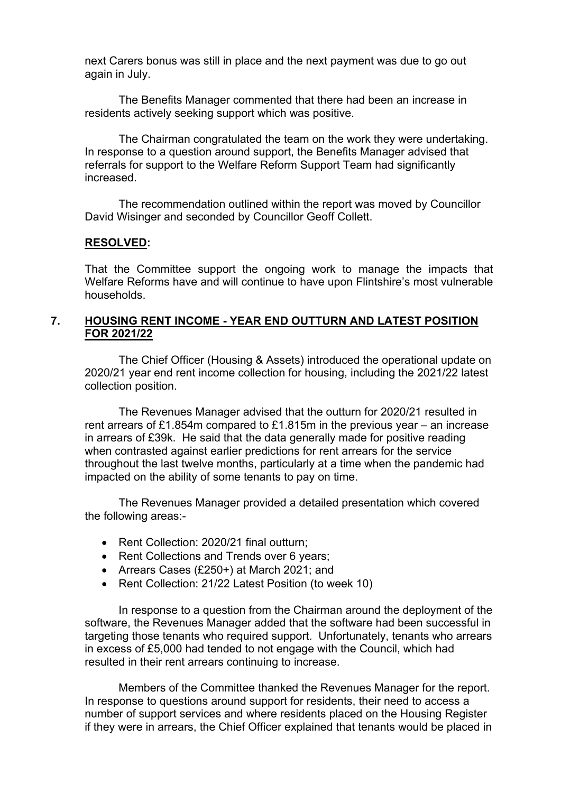next Carers bonus was still in place and the next payment was due to go out again in July.

The Benefits Manager commented that there had been an increase in residents actively seeking support which was positive.

The Chairman congratulated the team on the work they were undertaking. In response to a question around support, the Benefits Manager advised that referrals for support to the Welfare Reform Support Team had significantly increased.

The recommendation outlined within the report was moved by Councillor David Wisinger and seconded by Councillor Geoff Collett.

#### **RESOLVED:**

That the Committee support the ongoing work to manage the impacts that Welfare Reforms have and will continue to have upon Flintshire's most vulnerable households.

### **7. HOUSING RENT INCOME - YEAR END OUTTURN AND LATEST POSITION FOR 2021/22**

The Chief Officer (Housing & Assets) introduced the operational update on 2020/21 year end rent income collection for housing, including the 2021/22 latest collection position.

The Revenues Manager advised that the outturn for 2020/21 resulted in rent arrears of £1.854m compared to £1.815m in the previous year – an increase in arrears of £39k. He said that the data generally made for positive reading when contrasted against earlier predictions for rent arrears for the service throughout the last twelve months, particularly at a time when the pandemic had impacted on the ability of some tenants to pay on time.

The Revenues Manager provided a detailed presentation which covered the following areas:-

- Rent Collection: 2020/21 final outturn;
- Rent Collections and Trends over 6 years;
- Arrears Cases (£250+) at March 2021; and
- Rent Collection: 21/22 Latest Position (to week 10)

In response to a question from the Chairman around the deployment of the software, the Revenues Manager added that the software had been successful in targeting those tenants who required support. Unfortunately, tenants who arrears in excess of £5,000 had tended to not engage with the Council, which had resulted in their rent arrears continuing to increase.

Members of the Committee thanked the Revenues Manager for the report. In response to questions around support for residents, their need to access a number of support services and where residents placed on the Housing Register if they were in arrears, the Chief Officer explained that tenants would be placed in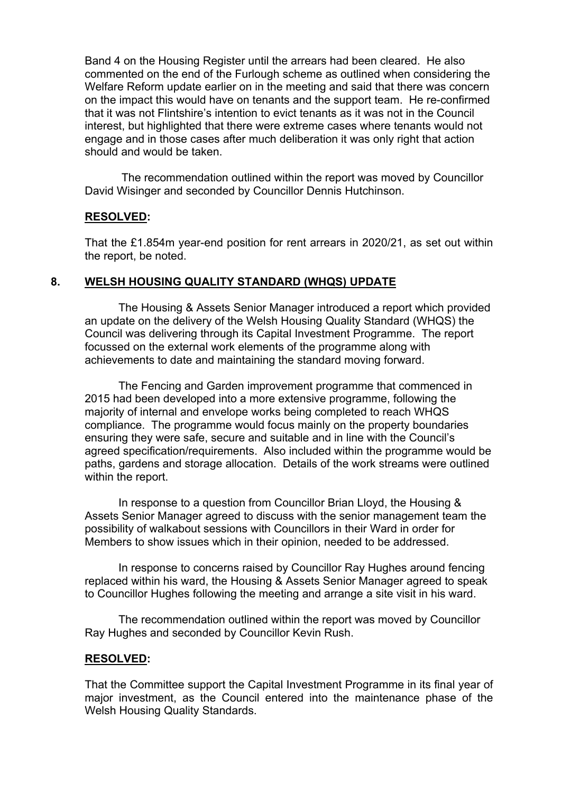Band 4 on the Housing Register until the arrears had been cleared. He also commented on the end of the Furlough scheme as outlined when considering the Welfare Reform update earlier on in the meeting and said that there was concern on the impact this would have on tenants and the support team. He re-confirmed that it was not Flintshire's intention to evict tenants as it was not in the Council interest, but highlighted that there were extreme cases where tenants would not engage and in those cases after much deliberation it was only right that action should and would be taken.

The recommendation outlined within the report was moved by Councillor David Wisinger and seconded by Councillor Dennis Hutchinson.

#### **RESOLVED:**

That the £1.854m year-end position for rent arrears in 2020/21, as set out within the report, be noted.

#### **8. WELSH HOUSING QUALITY STANDARD (WHQS) UPDATE**

The Housing & Assets Senior Manager introduced a report which provided an update on the delivery of the Welsh Housing Quality Standard (WHQS) the Council was delivering through its Capital Investment Programme. The report focussed on the external work elements of the programme along with achievements to date and maintaining the standard moving forward.

The Fencing and Garden improvement programme that commenced in 2015 had been developed into a more extensive programme, following the majority of internal and envelope works being completed to reach WHQS compliance. The programme would focus mainly on the property boundaries ensuring they were safe, secure and suitable and in line with the Council's agreed specification/requirements. Also included within the programme would be paths, gardens and storage allocation. Details of the work streams were outlined within the report.

In response to a question from Councillor Brian Lloyd, the Housing & Assets Senior Manager agreed to discuss with the senior management team the possibility of walkabout sessions with Councillors in their Ward in order for Members to show issues which in their opinion, needed to be addressed.

In response to concerns raised by Councillor Ray Hughes around fencing replaced within his ward, the Housing & Assets Senior Manager agreed to speak to Councillor Hughes following the meeting and arrange a site visit in his ward.

The recommendation outlined within the report was moved by Councillor Ray Hughes and seconded by Councillor Kevin Rush.

#### **RESOLVED:**

That the Committee support the Capital Investment Programme in its final year of major investment, as the Council entered into the maintenance phase of the Welsh Housing Quality Standards.